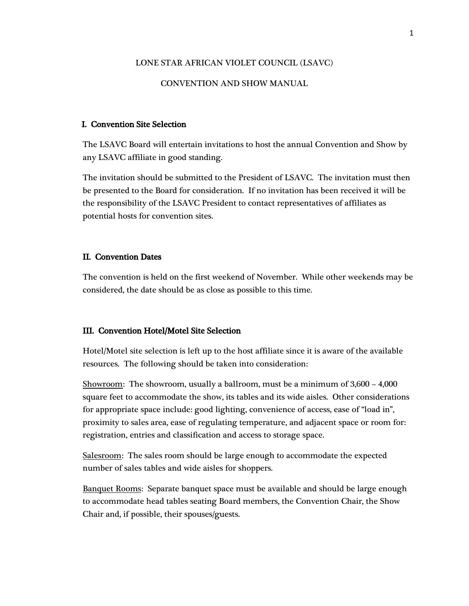#### LONE STAR AFRICAN VIOLET COUNCIL (LSAVC)

#### CONVENTION AND SHOW MANUAL

#### I. Convention Site Selection

The LSAVC Board will entertain invitations to host the annual Convention and Show by any LSAVC affiliate in good standing.

The invitation should be submitted to the President of LSAVC. The invitation must then be presented to the Board for consideration. If no invitation has been received it will be the responsibility of the LSAVC President to contact representatives of affiliates as potential hosts for convention sites.

#### II. Convention Dates

The convention is held on the first weekend of November. While other weekends may be considered, the date should be as close as possible to this time.

#### III. Convention Hotel/Motel Site Selection

Hotel/Motel site selection is left up to the host affiliate since it is aware of the available resources. The following should be taken into consideration:

Showroom: The showroom, usually a ballroom, must be a minimum of 3,600 – 4,000 square feet to accommodate the show, its tables and its wide aisles. Other considerations for appropriate space include: good lighting, convenience of access, ease of "load in", proximity to sales area, ease of regulating temperature, and adjacent space or room for: registration, entries and classification and access to storage space.

Salesroom: The sales room should be large enough to accommodate the expected number of sales tables and wide aisles for shoppers.

Banquet Rooms: Separate banquet space must be available and should be large enough to accommodate head tables seating Board members, the Convention Chair, the Show Chair and, if possible, their spouses/guests.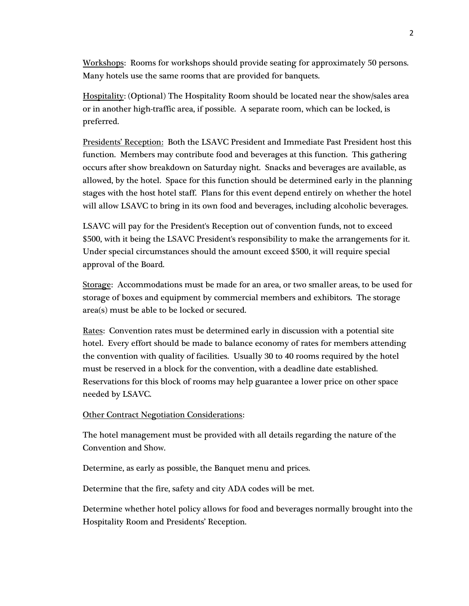Workshops: Rooms for workshops should provide seating for approximately 50 persons. Many hotels use the same rooms that are provided for banquets.

Hospitality: (Optional) The Hospitality Room should be located near the show/sales area or in another high-traffic area, if possible. A separate room, which can be locked, is preferred.

Presidents' Reception: Both the LSAVC President and Immediate Past President host this function. Members may contribute food and beverages at this function. This gathering occurs after show breakdown on Saturday night. Snacks and beverages are available, as allowed, by the hotel. Space for this function should be determined early in the planning stages with the host hotel staff. Plans for this event depend entirely on whether the hotel will allow LSAVC to bring in its own food and beverages, including alcoholic beverages.

LSAVC will pay for the President's Reception out of convention funds, not to exceed \$500, with it being the LSAVC President's responsibility to make the arrangements for it. Under special circumstances should the amount exceed \$500, it will require special approval of the Board.

Storage: Accommodations must be made for an area, or two smaller areas, to be used for storage of boxes and equipment by commercial members and exhibitors. The storage area(s) must be able to be locked or secured.

Rates: Convention rates must be determined early in discussion with a potential site hotel. Every effort should be made to balance economy of rates for members attending the convention with quality of facilities. Usually 30 to 40 rooms required by the hotel must be reserved in a block for the convention, with a deadline date established. Reservations for this block of rooms may help guarantee a lower price on other space needed by LSAVC.

### Other Contract Negotiation Considerations:

The hotel management must be provided with all details regarding the nature of the Convention and Show.

Determine, as early as possible, the Banquet menu and prices.

Determine that the fire, safety and city ADA codes will be met.

Determine whether hotel policy allows for food and beverages normally brought into the Hospitality Room and Presidents' Reception.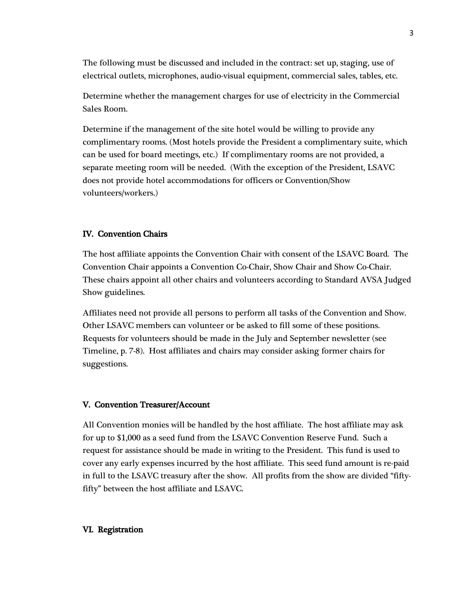The following must be discussed and included in the contract: set up, staging, use of electrical outlets, microphones, audio-visual equipment, commercial sales, tables, etc.

Determine whether the management charges for use of electricity in the Commercial Sales Room.

Determine if the management of the site hotel would be willing to provide any complimentary rooms. (Most hotels provide the President a complimentary suite, which can be used for board meetings, etc.) If complimentary rooms are not provided, a separate meeting room will be needed. (With the exception of the President, LSAVC does not provide hotel accommodations for officers or Convention/Show volunteers/workers.)

## IV. Convention Chairs

The host affiliate appoints the Convention Chair with consent of the LSAVC Board. The Convention Chair appoints a Convention Co-Chair, Show Chair and Show Co-Chair. These chairs appoint all other chairs and volunteers according to Standard AVSA Judged Show guidelines.

Affiliates need not provide all persons to perform all tasks of the Convention and Show. Other LSAVC members can volunteer or be asked to fill some of these positions. Requests for volunteers should be made in the July and September newsletter (see Timeline, p. 7-8). Host affiliates and chairs may consider asking former chairs for suggestions.

#### V. Convention Treasurer/Account

All Convention monies will be handled by the host affiliate. The host affiliate may ask for up to \$1,000 as a seed fund from the LSAVC Convention Reserve Fund. Such a request for assistance should be made in writing to the President. This fund is used to cover any early expenses incurred by the host affiliate. This seed fund amount is re-paid in full to the LSAVC treasury after the show. All profits from the show are divided "fiftyfifty" between the host affiliate and LSAVC.

### VI. Registration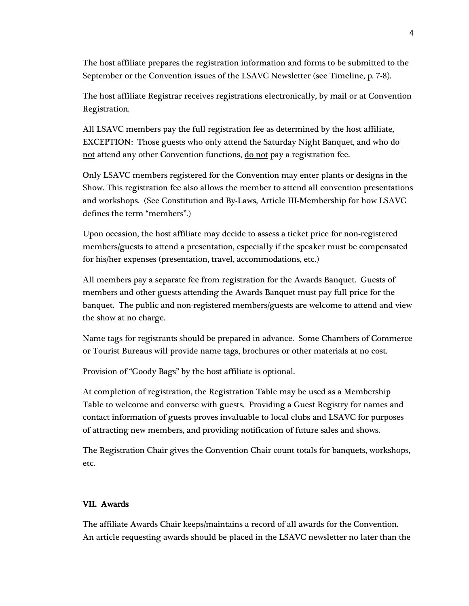The host affiliate prepares the registration information and forms to be submitted to the September or the Convention issues of the LSAVC Newsletter (see Timeline, p. 7-8).

The host affiliate Registrar receives registrations electronically, by mail or at Convention Registration.

All LSAVC members pay the full registration fee as determined by the host affiliate, EXCEPTION: Those guests who only attend the Saturday Night Banquet, and who do not attend any other Convention functions, <u>do not</u> pay a registration fee.

Only LSAVC members registered for the Convention may enter plants or designs in the Show. This registration fee also allows the member to attend all convention presentations and workshops. (See Constitution and By-Laws, Article III-Membership for how LSAVC defines the term "members".)

Upon occasion, the host affiliate may decide to assess a ticket price for non-registered members/guests to attend a presentation, especially if the speaker must be compensated for his/her expenses (presentation, travel, accommodations, etc.)

All members pay a separate fee from registration for the Awards Banquet. Guests of members and other guests attending the Awards Banquet must pay full price for the banquet. The public and non-registered members/guests are welcome to attend and view the show at no charge.

Name tags for registrants should be prepared in advance. Some Chambers of Commerce or Tourist Bureaus will provide name tags, brochures or other materials at no cost.

Provision of "Goody Bags" by the host affiliate is optional.

At completion of registration, the Registration Table may be used as a Membership Table to welcome and converse with guests. Providing a Guest Registry for names and contact information of guests proves invaluable to local clubs and LSAVC for purposes of attracting new members, and providing notification of future sales and shows.

The Registration Chair gives the Convention Chair count totals for banquets, workshops, etc.

# VII. Awards

The affiliate Awards Chair keeps/maintains a record of all awards for the Convention. An article requesting awards should be placed in the LSAVC newsletter no later than the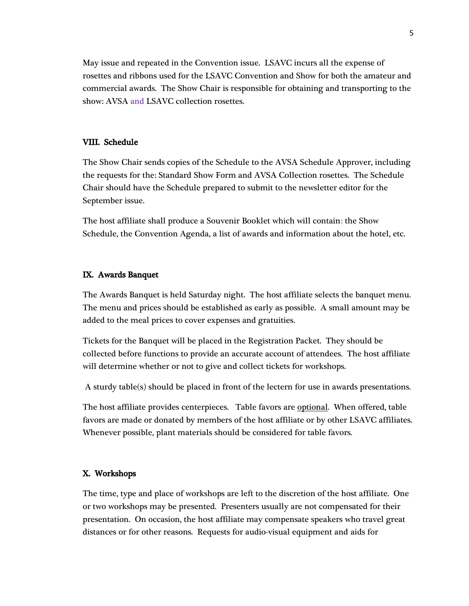May issue and repeated in the Convention issue. LSAVC incurs all the expense of rosettes and ribbons used for the LSAVC Convention and Show for both the amateur and commercial awards. The Show Chair is responsible for obtaining and transporting to the show: AVSA and LSAVC collection rosettes.

### VIII. Schedule

The Show Chair sends copies of the Schedule to the AVSA Schedule Approver, including the requests for the: Standard Show Form and AVSA Collection rosettes. The Schedule Chair should have the Schedule prepared to submit to the newsletter editor for the September issue.

The host affiliate shall produce a Souvenir Booklet which will contain: the Show Schedule, the Convention Agenda, a list of awards and information about the hotel, etc.

#### IX. Awards Banquet

The Awards Banquet is held Saturday night. The host affiliate selects the banquet menu. The menu and prices should be established as early as possible. A small amount may be added to the meal prices to cover expenses and gratuities.

Tickets for the Banquet will be placed in the Registration Packet. They should be collected before functions to provide an accurate account of attendees. The host affiliate will determine whether or not to give and collect tickets for workshops.

A sturdy table(s) should be placed in front of the lectern for use in awards presentations.

The host affiliate provides centerpieces. Table favors are optional. When offered, table favors are made or donated by members of the host affiliate or by other LSAVC affiliates. Whenever possible, plant materials should be considered for table favors.

#### X. Workshops

The time, type and place of workshops are left to the discretion of the host affiliate. One or two workshops may be presented. Presenters usually are not compensated for their presentation. On occasion, the host affiliate may compensate speakers who travel great distances or for other reasons. Requests for audio-visual equipment and aids for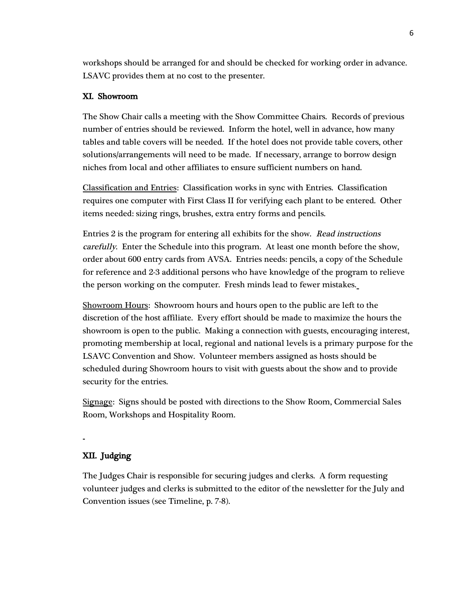workshops should be arranged for and should be checked for working order in advance. LSAVC provides them at no cost to the presenter.

# XI. Showroom

The Show Chair calls a meeting with the Show Committee Chairs. Records of previous number of entries should be reviewed. Inform the hotel, well in advance, how many tables and table covers will be needed. If the hotel does not provide table covers, other solutions/arrangements will need to be made. If necessary, arrange to borrow design niches from local and other affiliates to ensure sufficient numbers on hand.

Classification and Entries: Classification works in sync with Entries. Classification requires one computer with First Class II for verifying each plant to be entered. Other items needed: sizing rings, brushes, extra entry forms and pencils.

Entries 2 is the program for entering all exhibits for the show. Read instructions carefully. Enter the Schedule into this program. At least one month before the show, order about 600 entry cards from AVSA. Entries needs: pencils, a copy of the Schedule for reference and 2-3 additional persons who have knowledge of the program to relieve the person working on the computer. Fresh minds lead to fewer mistakes.

Showroom Hours: Showroom hours and hours open to the public are left to the discretion of the host affiliate. Every effort should be made to maximize the hours the showroom is open to the public. Making a connection with guests, encouraging interest, promoting membership at local, regional and national levels is a primary purpose for the LSAVC Convention and Show. Volunteer members assigned as hosts should be scheduled during Showroom hours to visit with guests about the show and to provide security for the entries.

Signage: Signs should be posted with directions to the Show Room, Commercial Sales Room, Workshops and Hospitality Room.

# XII. Judging

The Judges Chair is responsible for securing judges and clerks. A form requesting volunteer judges and clerks is submitted to the editor of the newsletter for the July and Convention issues (see Timeline, p. 7-8).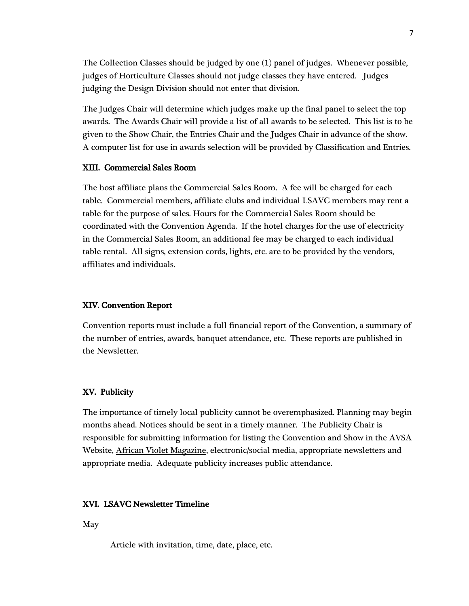The Collection Classes should be judged by one (1) panel of judges. Whenever possible, judges of Horticulture Classes should not judge classes they have entered. Judges judging the Design Division should not enter that division.

The Judges Chair will determine which judges make up the final panel to select the top awards. The Awards Chair will provide a list of all awards to be selected. This list is to be given to the Show Chair, the Entries Chair and the Judges Chair in advance of the show. A computer list for use in awards selection will be provided by Classification and Entries.

#### XIII. Commercial Sales Room

The host affiliate plans the Commercial Sales Room. A fee will be charged for each table. Commercial members, affiliate clubs and individual LSAVC members may rent a table for the purpose of sales. Hours for the Commercial Sales Room should be coordinated with the Convention Agenda. If the hotel charges for the use of electricity in the Commercial Sales Room, an additional fee may be charged to each individual table rental. All signs, extension cords, lights, etc. are to be provided by the vendors, affiliates and individuals.

#### XIV. Convention Report

Convention reports must include a full financial report of the Convention, a summary of the number of entries, awards, banquet attendance, etc. These reports are published in the Newsletter.

#### XV. Publicity

The importance of timely local publicity cannot be overemphasized. Planning may begin months ahead. Notices should be sent in a timely manner. The Publicity Chair is responsible for submitting information for listing the Convention and Show in the AVSA Website, African Violet Magazine, electronic/social media, appropriate newsletters and appropriate media. Adequate publicity increases public attendance.

#### XVI. LSAVC Newsletter Timeline

May

Article with invitation, time, date, place, etc.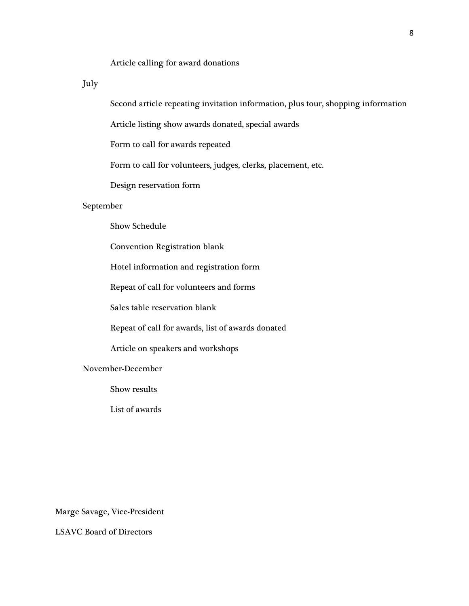## Article calling for award donations

July

Second article repeating invitation information, plus tour, shopping information

Article listing show awards donated, special awards

Form to call for awards repeated

Form to call for volunteers, judges, clerks, placement, etc.

Design reservation form

#### September

Show Schedule

Convention Registration blank

Hotel information and registration form

Repeat of call for volunteers and forms

Sales table reservation blank

Repeat of call for awards, list of awards donated

Article on speakers and workshops

November-December

Show results

List of awards

Marge Savage, Vice-President

LSAVC Board of Directors